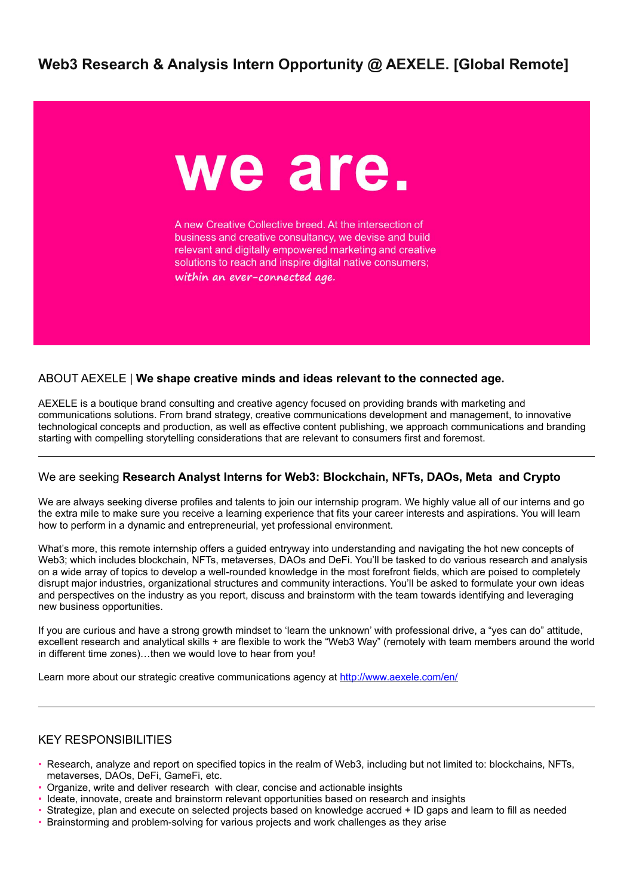# **Web3 Research & Analysis Intern Opportunity @ AEXELE. [Global Remote]**



A new Creative Collective breed. At the intersection of business and creative consultancy, we devise and build relevant and digitally empowered marketing and creative solutions to reach and inspire digital native consumers; within an ever-connected age.

### ABOUT AEXELE | **We shape creative minds and ideas relevant to the connected age.**

AEXELE is a boutique brand consulting and creative agency focused on providing brands with marketing and communications solutions. From brand strategy, creative communications development and management, to innovative technological concepts and production, as well as effective content publishing, we approach communications and branding starting with compelling storytelling considerations that are relevant to consumers first and foremost.

#### We are seeking **Research Analyst Interns for Web3: Blockchain, NFTs, DAOs, Meta and Crypto**

We are always seeking diverse profiles and talents to join our internship program. We highly value all of our interns and go the extra mile to make sure you receive a learning experience that fits your career interests and aspirations. You will learn how to perform in a dynamic and entrepreneurial, yet professional environment.

What's more, this remote internship offers a guided entryway into understanding and navigating the hot new concepts of Web3; which includes blockchain, NFTs, metaverses, DAOs and DeFi. You'll be tasked to do various research and analysis on a wide array of topics to develop a well-rounded knowledge in the most forefront fields, which are poised to completely disrupt major industries, organizational structures and community interactions. You'll be asked to formulate your own ideas and perspectives on the industry as you report, discuss and brainstorm with the team towards identifying and leveraging new business opportunities.

If you are curious and have a strong growth mindset to 'learn the unknown' with professional drive, a "yes can do" attitude, excellent research and analytical skills + are flexible to work the "Web3 Way" (remotely with team members around the world in different time zones)…then we would love to hear from you!

Learn more about our strategic creative communications agency at <http://www.aexele.com/en/>

### KEY RESPONSIBILITIES

- Research, analyze and report on specified topics in the realm of Web3, including but not limited to: blockchains, NFTs, metaverses, DAOs, DeFi, GameFi, etc.
- Organize, write and deliver research with clear, concise and actionable insights
- Ideate, innovate, create and brainstorm relevant opportunities based on research and insights
- Strategize, plan and execute on selected projects based on knowledge accrued + ID gaps and learn to fill as needed
- Brainstorming and problem-solving for various projects and work challenges as they arise